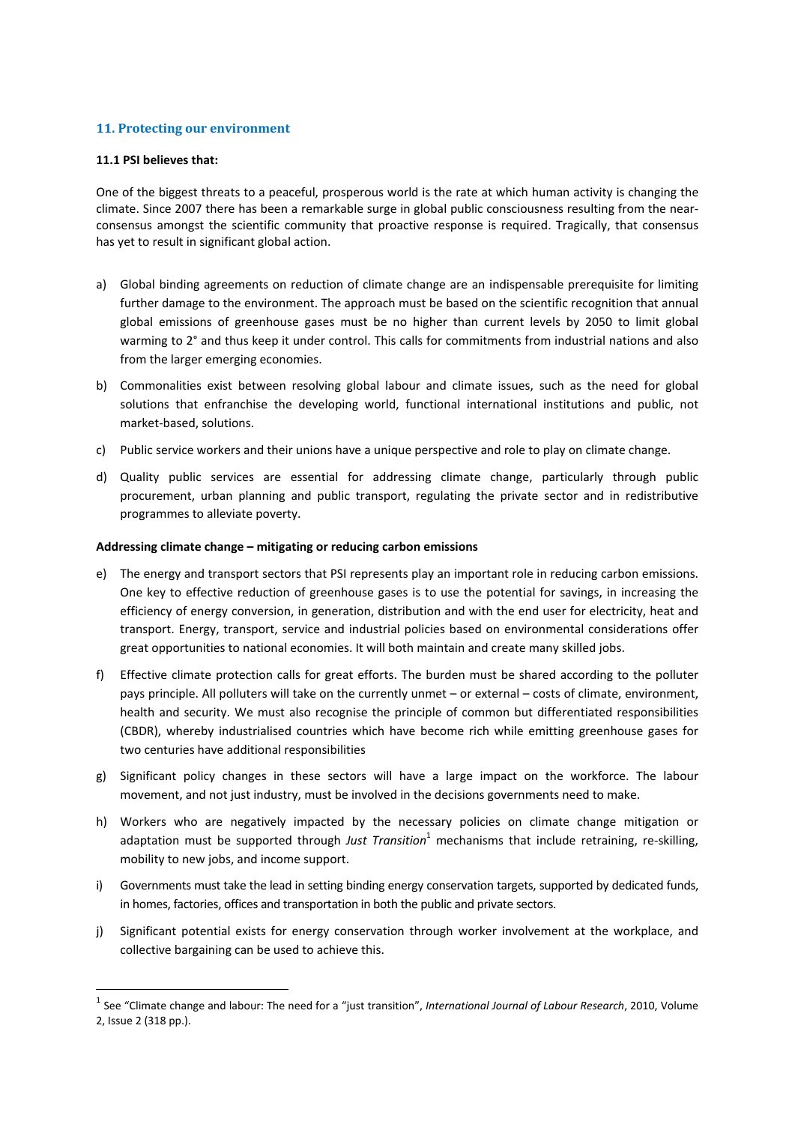# **11. Protecting our environment**

#### **11.1 PSI believes that:**

One of the biggest threats to a peaceful, prosperous world is the rate at which human activity is changing the climate. Since 2007 there has been a remarkable surge in global public consciousness resulting from the near‐ consensus amongst the scientific community that proactive response is required. Tragically, that consensus has yet to result in significant global action.

- a) Global binding agreements on reduction of climate change are an indispensable prerequisite for limiting further damage to the environment. The approach must be based on the scientific recognition that annual global emissions of greenhouse gases must be no higher than current levels by 2050 to limit global warming to 2° and thus keep it under control. This calls for commitments from industrial nations and also from the larger emerging economies.
- b) Commonalities exist between resolving global labour and climate issues, such as the need for global solutions that enfranchise the developing world, functional international institutions and public, not market‐based, solutions.
- c) Public service workers and their unions have a unique perspective and role to play on climate change.
- d) Quality public services are essential for addressing climate change, particularly through public procurement, urban planning and public transport, regulating the private sector and in redistributive programmes to alleviate poverty.

# **Addressing climate change – mitigating or reducing carbon emissions**

- e) The energy and transport sectors that PSI represents play an important role in reducing carbon emissions. One key to effective reduction of greenhouse gases is to use the potential for savings, in increasing the efficiency of energy conversion, in generation, distribution and with the end user for electricity, heat and transport. Energy, transport, service and industrial policies based on environmental considerations offer great opportunities to national economies. It will both maintain and create many skilled jobs.
- f) Effective climate protection calls for great efforts. The burden must be shared according to the polluter pays principle. All polluters will take on the currently unmet – or external – costs of climate, environment, health and security. We must also recognise the principle of common but differentiated responsibilities (CBDR), whereby industrialised countries which have become rich while emitting greenhouse gases for two centuries have additional responsibilities
- g) Significant policy changes in these sectors will have a large impact on the workforce. The labour movement, and not just industry, must be involved in the decisions governments need to make.
- h) Workers who are negatively impacted by the necessary policies on climate change mitigation or adaptation must be supported through *Just Transition*<sup>1</sup> mechanisms that include retraining, re‐skilling, mobility to new jobs, and income support.
- i) Governments must take the lead in setting binding energy conservation targets, supported by dedicated funds, in homes, factories, offices and transportation in both the public and private sectors.
- j) Significant potential exists for energy conservation through worker involvement at the workplace, and collective bargaining can be used to achieve this.

<sup>1</sup> See "Climate change and labour: The need for a "just transition", *International Journal of Labour Research*, 2010, Volume 2, Issue 2 (318 pp.).